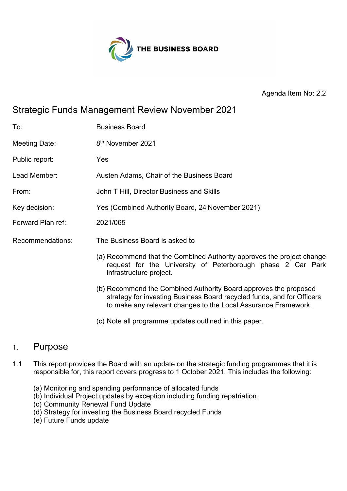

Agenda Item No: 2.2

# Strategic Funds Management Review November 2021

| To:               | <b>Business Board</b>                                                                                                                                                                                        |
|-------------------|--------------------------------------------------------------------------------------------------------------------------------------------------------------------------------------------------------------|
| Meeting Date:     | 8 <sup>th</sup> November 2021                                                                                                                                                                                |
| Public report:    | Yes                                                                                                                                                                                                          |
| Lead Member:      | Austen Adams, Chair of the Business Board                                                                                                                                                                    |
| From:             | John T Hill, Director Business and Skills                                                                                                                                                                    |
| Key decision:     | Yes (Combined Authority Board, 24 November 2021)                                                                                                                                                             |
| Forward Plan ref: | 2021/065                                                                                                                                                                                                     |
| Recommendations:  | The Business Board is asked to                                                                                                                                                                               |
|                   | (a) Recommend that the Combined Authority approves the project change<br>request for the University of Peterborough phase 2 Car Park<br>infrastructure project.                                              |
|                   | (b) Recommend the Combined Authority Board approves the proposed<br>strategy for investing Business Board recycled funds, and for Officers<br>to make any relevant changes to the Local Assurance Framework. |

(c) Note all programme updates outlined in this paper.

#### 1. Purpose

- 1.1 This report provides the Board with an update on the strategic funding programmes that it is responsible for, this report covers progress to 1 October 2021. This includes the following:
	- (a) Monitoring and spending performance of allocated funds
	- (b) Individual Project updates by exception including funding repatriation.
	- (c) Community Renewal Fund Update
	- (d) Strategy for investing the Business Board recycled Funds
	- (e) Future Funds update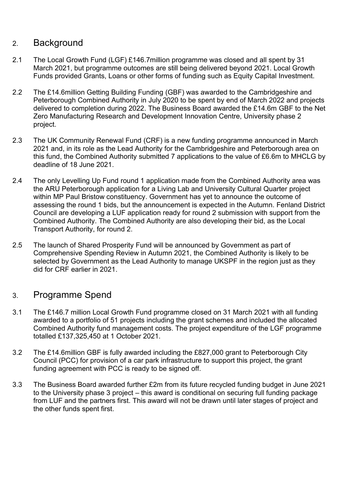## 2. Background

- 2.1 The Local Growth Fund (LGF) £146.7million programme was closed and all spent by 31 March 2021, but programme outcomes are still being delivered beyond 2021. Local Growth Funds provided Grants, Loans or other forms of funding such as Equity Capital Investment.
- 2.2 The £14.6million Getting Building Funding (GBF) was awarded to the Cambridgeshire and Peterborough Combined Authority in July 2020 to be spent by end of March 2022 and projects delivered to completion during 2022. The Business Board awarded the £14.6m GBF to the Net Zero Manufacturing Research and Development Innovation Centre, University phase 2 project.
- 2.3 The UK Community Renewal Fund (CRF) is a new funding programme announced in March 2021 and, in its role as the Lead Authority for the Cambridgeshire and Peterborough area on this fund, the Combined Authority submitted 7 applications to the value of £6.6m to MHCLG by deadline of 18 June 2021.
- 2.4 The only Levelling Up Fund round 1 application made from the Combined Authority area was the ARU Peterborough application for a Living Lab and University Cultural Quarter project within MP Paul Bristow constituency. Government has yet to announce the outcome of assessing the round 1 bids, but the announcement is expected in the Autumn. Fenland District Council are developing a LUF application ready for round 2 submission with support from the Combined Authority. The Combined Authority are also developing their bid, as the Local Transport Authority, for round 2.
- 2.5 The launch of Shared Prosperity Fund will be announced by Government as part of Comprehensive Spending Review in Autumn 2021, the Combined Authority is likely to be selected by Government as the Lead Authority to manage UKSPF in the region just as they did for CRF earlier in 2021.

## 3. Programme Spend

- 3.1 The £146.7 million Local Growth Fund programme closed on 31 March 2021 with all funding awarded to a portfolio of 51 projects including the grant schemes and included the allocated Combined Authority fund management costs. The project expenditure of the LGF programme totalled £137,325,450 at 1 October 2021.
- 3.2 The £14.6million GBF is fully awarded including the £827,000 grant to Peterborough City Council (PCC) for provision of a car park infrastructure to support this project, the grant funding agreement with PCC is ready to be signed off.
- 3.3 The Business Board awarded further £2m from its future recycled funding budget in June 2021 to the University phase 3 project – this award is conditional on securing full funding package from LUF and the partners first. This award will not be drawn until later stages of project and the other funds spent first.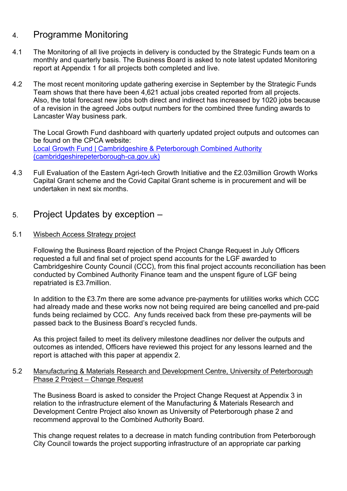### 4. Programme Monitoring

- 4.1 The Monitoring of all live projects in delivery is conducted by the Strategic Funds team on a monthly and quarterly basis. The Business Board is asked to note latest updated Monitoring report at Appendix 1 for all projects both completed and live.
- 4.2 The most recent monitoring update gathering exercise in September by the Strategic Funds Team shows that there have been 4,621 actual jobs created reported from all projects. Also, the total forecast new jobs both direct and indirect has increased by 1020 jobs because of a revision in the agreed Jobs output numbers for the combined three funding awards to Lancaster Way business park.

The Local Growth Fund dashboard with quarterly updated project outputs and outcomes can be found on the CPCA website: [Local Growth Fund | Cambridgeshire & Peterborough Combined Authority](https://cambridgeshirepeterborough-ca.gov.uk/what-we-deliver/business/local-growth-fund/)  [\(cambridgeshirepeterborough-ca.gov.uk\)](https://cambridgeshirepeterborough-ca.gov.uk/what-we-deliver/business/local-growth-fund/)

- 4.3 Full Evaluation of the Eastern Agri-tech Growth Initiative and the £2.03million Growth Works Capital Grant scheme and the Covid Capital Grant scheme is in procurement and will be undertaken in next six months.
- 5. Project Updates by exception –

#### 5.1 Wisbech Access Strategy project

Following the Business Board rejection of the Project Change Request in July Officers requested a full and final set of project spend accounts for the LGF awarded to Cambridgeshire County Council (CCC), from this final project accounts reconciliation has been conducted by Combined Authority Finance team and the unspent figure of LGF being repatriated is £3.7million.

In addition to the £3.7m there are some advance pre-payments for utilities works which CCC had already made and these works now not being required are being cancelled and pre-paid funds being reclaimed by CCC. Any funds received back from these pre-payments will be passed back to the Business Board's recycled funds.

As this project failed to meet its delivery milestone deadlines nor deliver the outputs and outcomes as intended, Officers have reviewed this project for any lessons learned and the report is attached with this paper at appendix 2.

#### 5.2 Manufacturing & Materials Research and Development Centre, University of Peterborough Phase 2 Project – Change Request

The Business Board is asked to consider the Project Change Request at Appendix 3 in relation to the infrastructure element of the Manufacturing & Materials Research and Development Centre Project also known as University of Peterborough phase 2 and recommend approval to the Combined Authority Board.

This change request relates to a decrease in match funding contribution from Peterborough City Council towards the project supporting infrastructure of an appropriate car parking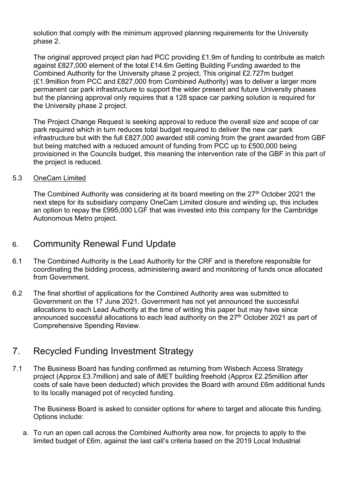solution that comply with the minimum approved planning requirements for the University phase 2.

The original approved project plan had PCC providing £1.9m of funding to contribute as match against £827,000 element of the total £14.6m Getting Building Funding awarded to the Combined Authority for the University phase 2 project, This original £2.727m budget (£1.9million from PCC and £827,000 from Combined Authority) was to deliver a larger more permanent car park infrastructure to support the wider present and future University phases but the planning approval only requires that a 128 space car parking solution is required for the University phase 2 project.

The Project Change Request is seeking approval to reduce the overall size and scope of car park required which in turn reduces total budget required to deliver the new car park infrastructure but with the full £827,000 awarded still coming from the grant awarded from GBF but being matched with a reduced amount of funding from PCC up to £500,000 being provisioned in the Councils budget, this meaning the intervention rate of the GBF in this part of the project is reduced.

5.3 OneCam Limited

The Combined Authority was considering at its board meeting on the 27<sup>th</sup> October 2021 the next steps for its subsidiary company OneCam Limited closure and winding up, this includes an option to repay the £995,000 LGF that was invested into this company for the Cambridge Autonomous Metro project.

### 6. Community Renewal Fund Update

- 6.1 The Combined Authority is the Lead Authority for the CRF and is therefore responsible for coordinating the bidding process, administering award and monitoring of funds once allocated from Government.
- 6.2 The final shortlist of applications for the Combined Authority area was submitted to Government on the 17 June 2021. Government has not yet announced the successful allocations to each Lead Authority at the time of writing this paper but may have since announced successful allocations to each lead authority on the  $27<sup>th</sup>$  October 2021 as part of Comprehensive Spending Review.

## 7. Recycled Funding Investment Strategy

7.1 The Business Board has funding confirmed as returning from Wisbech Access Strategy project (Approx £3.7million) and sale of iMET building freehold (Approx £2.25million after costs of sale have been deducted) which provides the Board with around £6m additional funds to its locally managed pot of recycled funding.

The Business Board is asked to consider options for where to target and allocate this funding. Options include:

a. To run an open call across the Combined Authority area now, for projects to apply to the limited budget of £6m, against the last call's criteria based on the 2019 Local Industrial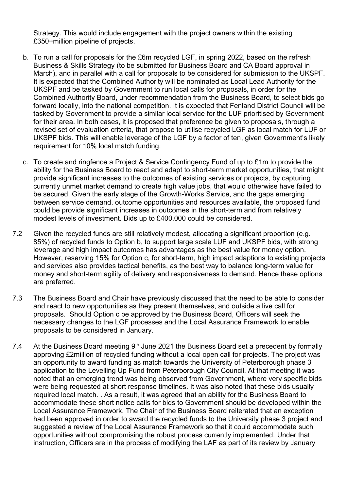Strategy. This would include engagement with the project owners within the existing £350+million pipeline of projects.

- b. To run a call for proposals for the £6m recycled LGF, in spring 2022, based on the refresh Business & Skills Strategy (to be submitted for Business Board and CA Board approval in March), and in parallel with a call for proposals to be considered for submission to the UKSPF. It is expected that the Combined Authority will be nominated as Local Lead Authority for the UKSPF and be tasked by Government to run local calls for proposals, in order for the Combined Authority Board, under recommendation from the Business Board, to select bids go forward locally, into the national competition. It is expected that Fenland District Council will be tasked by Government to provide a similar local service for the LUF prioritised by Government for their area. In both cases, it is proposed that preference be given to proposals, through a revised set of evaluation criteria, that propose to utilise recycled LGF as local match for LUF or UKSPF bids. This will enable leverage of the LGF by a factor of ten, given Government's likely requirement for 10% local match funding.
- c. To create and ringfence a Project & Service Contingency Fund of up to £1m to provide the ability for the Business Board to react and adapt to short-term market opportunities, that might provide significant increases to the outcomes of existing services or projects, by capturing currently unmet market demand to create high value jobs, that would otherwise have failed to be secured. Given the early stage of the Growth-Works Service, and the gaps emerging between service demand, outcome opportunities and resources available, the proposed fund could be provide significant increases in outcomes in the short-term and from relatively modest levels of investment. Bids up to £400,000 could be considered.
- 7.2 Given the recycled funds are still relatively modest, allocating a significant proportion (e.g. 85%) of recycled funds to Option b, to support large scale LUF and UKSPF bids, with strong leverage and high impact outcomes has advantages as the best value for money option. However, reserving 15% for Option c, for short-term, high impact adaptions to existing projects and services also provides tactical benefits, as the best way to balance long-term value for money and short-term agility of delivery and responsiveness to demand. Hence these options are preferred.
- 7.3 The Business Board and Chair have previously discussed that the need to be able to consider and react to new opportunities as they present themselves, and outside a live call for proposals. Should Option c be approved by the Business Board, Officers will seek the necessary changes to the LGF processes and the Local Assurance Framework to enable proposals to be considered in January.
- 7.4 At the Business Board meeting  $9<sup>th</sup>$  June 2021 the Business Board set a precedent by formally approving £2million of recycled funding without a local open call for projects. The project was an opportunity to award funding as match towards the University of Peterborough phase 3 application to the Levelling Up Fund from Peterborough City Council. At that meeting it was noted that an emerging trend was being observed from Government, where very specific bids were being requested at short response timelines. It was also noted that these bids usually required local match. . As a result, it was agreed that an ability for the Business Board to accommodate these short notice calls for bids to Government should be developed within the Local Assurance Framework. The Chair of the Business Board reiterated that an exception had been approved in order to award the recycled funds to the University phase 3 project and suggested a review of the Local Assurance Framework so that it could accommodate such opportunities without compromising the robust process currently implemented. Under that instruction, Officers are in the process of modifying the LAF as part of its review by January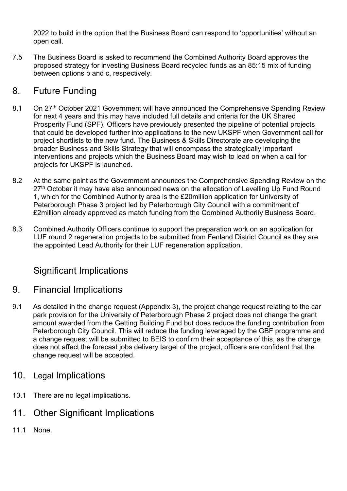2022 to build in the option that the Business Board can respond to 'opportunities' without an open call.

7.5 The Business Board is asked to recommend the Combined Authority Board approves the proposed strategy for investing Business Board recycled funds as an 85:15 mix of funding between options b and c, respectively.

## 8. Future Funding

- 8.1 On 27<sup>th</sup> October 2021 Government will have announced the Comprehensive Spending Review for next 4 years and this may have included full details and criteria for the UK Shared Prosperity Fund (SPF). Officers have previously presented the pipeline of potential projects that could be developed further into applications to the new UKSPF when Government call for project shortlists to the new fund. The Business & Skills Directorate are developing the broader Business and Skills Strategy that will encompass the strategically important interventions and projects which the Business Board may wish to lead on when a call for projects for UKSPF is launched.
- 8.2 At the same point as the Government announces the Comprehensive Spending Review on the 27<sup>th</sup> October it may have also announced news on the allocation of Levelling Up Fund Round 1, which for the Combined Authority area is the £20million application for University of Peterborough Phase 3 project led by Peterborough City Council with a commitment of £2million already approved as match funding from the Combined Authority Business Board.
- 8.3 Combined Authority Officers continue to support the preparation work on an application for LUF round 2 regeneration projects to be submitted from Fenland District Council as they are the appointed Lead Authority for their LUF regeneration application.

# Significant Implications

## 9. Financial Implications

- 9.1 As detailed in the change request (Appendix 3), the project change request relating to the car park provision for the University of Peterborough Phase 2 project does not change the grant amount awarded from the Getting Building Fund but does reduce the funding contribution from Peterborough City Council. This will reduce the funding leveraged by the GBF programme and a change request will be submitted to BEIS to confirm their acceptance of this, as the change does not affect the forecast jobs delivery target of the project, officers are confident that the change request will be accepted.
- 10. Legal Implications
- 10.1 There are no legal implications.
- 11. Other Significant Implications
- 11.1 None.